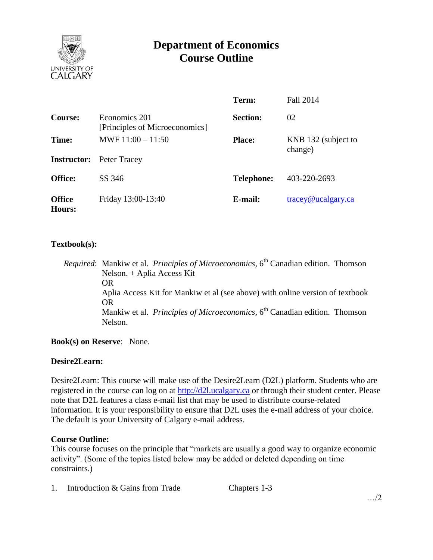

# **Department of Economics Course Outline**

|                         |                                                 | Term:             | <b>Fall 2014</b>                         |
|-------------------------|-------------------------------------------------|-------------------|------------------------------------------|
| Course:                 | Economics 201<br>[Principles of Microeconomics] | <b>Section:</b>   | 02                                       |
| Time:                   | MWF $11:00 - 11:50$                             | <b>Place:</b>     | KNB 132 (subject to<br>change)           |
| <b>Instructor:</b>      | Peter Tracey                                    |                   |                                          |
| <b>Office:</b>          | SS 346                                          | <b>Telephone:</b> | 403-220-2693                             |
| <b>Office</b><br>Hours: | Friday 13:00-13:40                              | E-mail:           | $trace\$ <sub><i>Q</i></sub> ucalgary.ca |

#### **Textbook(s):**

*Required*: Mankiw et al. *Principles of Microeconomics*, 6 th Canadian edition. Thomson Nelson. + Aplia Access Kit OR Aplia Access Kit for Mankiw et al (see above) with online version of textbook OR Mankiw et al. *Principles of Microeconomics*, 6<sup>th</sup> Canadian edition. Thomson Nelson.

**Book(s) on Reserve**: None.

#### **Desire2Learn:**

Desire2Learn: This course will make use of the Desire2Learn (D2L) platform. Students who are registered in the course can log on at [http://d2l.ucalgary.ca](http://d2l.ucalgary.ca/) or through their student center. Please note that D2L features a class e-mail list that may be used to distribute course-related information. It is your responsibility to ensure that D2L uses the e-mail address of your choice. The default is your University of Calgary e-mail address.

#### **Course Outline:**

This course focuses on the principle that "markets are usually a good way to organize economic activity". (Some of the topics listed below may be added or deleted depending on time constraints.)

1. Introduction & Gains from Trade Chapters 1-3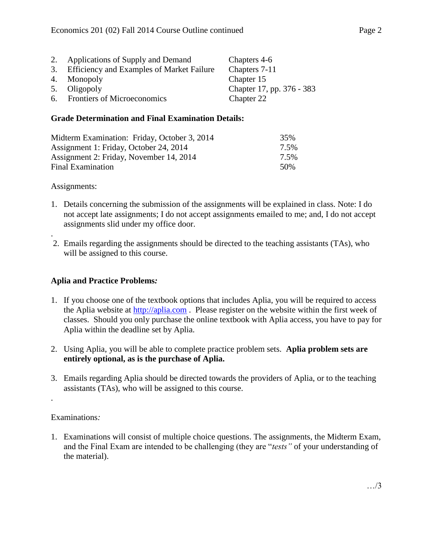| 2. Applications of Supply and Demand         | Chapters 4-6              |
|----------------------------------------------|---------------------------|
| 3. Efficiency and Examples of Market Failure | Chapters 7-11             |
| 4. Monopoly                                  | Chapter 15                |
| 5. Oligopoly                                 | Chapter 17, pp. 376 - 383 |
| 6. Frontiers of Microeconomics               | Chapter 22                |

#### **Grade Determination and Final Examination Details:**

| Midterm Examination: Friday, October 3, 2014 | 35%  |
|----------------------------------------------|------|
| Assignment 1: Friday, October 24, 2014       | 7.5% |
| Assignment 2: Friday, November 14, 2014      | 7.5% |
| Final Examination                            | 50%  |

Assignments:

.

- 1. Details concerning the submission of the assignments will be explained in class. Note: I do not accept late assignments; I do not accept assignments emailed to me; and, I do not accept assignments slid under my office door.
- 2. Emails regarding the assignments should be directed to the teaching assistants (TAs), who will be assigned to this course.

## **Aplia and Practice Problems***:*

- 1. If you choose one of the textbook options that includes Aplia, you will be required to access the Aplia website at [http://aplia.com](http://aplia.com/). Please register on the website within the first week of classes. Should you only purchase the online textbook with Aplia access, you have to pay for Aplia within the deadline set by Aplia.
- 2. Using Aplia, you will be able to complete practice problem sets. **Aplia problem sets are entirely optional, as is the purchase of Aplia.**
- 3. Emails regarding Aplia should be directed towards the providers of Aplia, or to the teaching assistants (TAs), who will be assigned to this course.

## Examinations*:*

.

1. Examinations will consist of multiple choice questions. The assignments, the Midterm Exam, and the Final Exam are intended to be challenging (they are "*tests"* of your understanding of the material).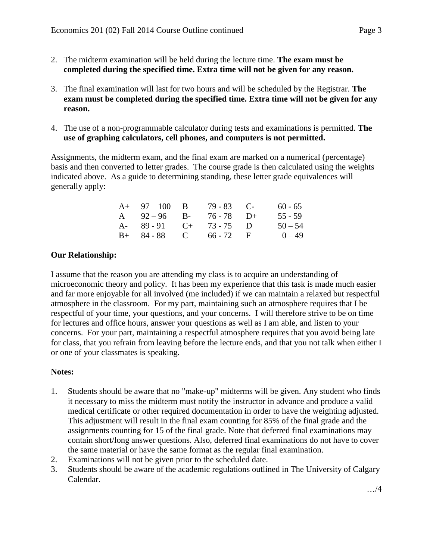- 2. The midterm examination will be held during the lecture time. **The exam must be completed during the specified time. Extra time will not be given for any reason.**
- 3. The final examination will last for two hours and will be scheduled by the Registrar. **The exam must be completed during the specified time. Extra time will not be given for any reason.**
- 4. The use of a non-programmable calculator during tests and examinations is permitted. **The use of graphing calculators, cell phones, and computers is not permitted.**

Assignments, the midterm exam, and the final exam are marked on a numerical (percentage) basis and then converted to letter grades. The course grade is then calculated using the weights indicated above. As a guide to determining standing, these letter grade equivalences will generally apply:

| $A+ 97-100 B$           | $79 - 83$ C- | $60 - 65$ |
|-------------------------|--------------|-----------|
| A $92-96$ B- $76-78$ D+ |              | $55 - 59$ |
| A- 89-91 C+ 73-75 D     |              | $50 - 54$ |
| $B+ 84-88$ C 66 - 72 F  |              | $0 - 49$  |

## **Our Relationship:**

I assume that the reason you are attending my class is to acquire an understanding of microeconomic theory and policy. It has been my experience that this task is made much easier and far more enjoyable for all involved (me included) if we can maintain a relaxed but respectful atmosphere in the classroom. For my part, maintaining such an atmosphere requires that I be respectful of your time, your questions, and your concerns. I will therefore strive to be on time for lectures and office hours, answer your questions as well as I am able, and listen to your concerns. For your part, maintaining a respectful atmosphere requires that you avoid being late for class, that you refrain from leaving before the lecture ends, and that you not talk when either I or one of your classmates is speaking.

## **Notes:**

- 1. Students should be aware that no "make-up" midterms will be given. Any student who finds it necessary to miss the midterm must notify the instructor in advance and produce a valid medical certificate or other required documentation in order to have the weighting adjusted. This adjustment will result in the final exam counting for 85% of the final grade and the assignments counting for 15 of the final grade. Note that deferred final examinations may contain short/long answer questions. Also, deferred final examinations do not have to cover the same material or have the same format as the regular final examination.
- 2. Examinations will not be given prior to the scheduled date.
- 3. Students should be aware of the academic regulations outlined in The University of Calgary Calendar.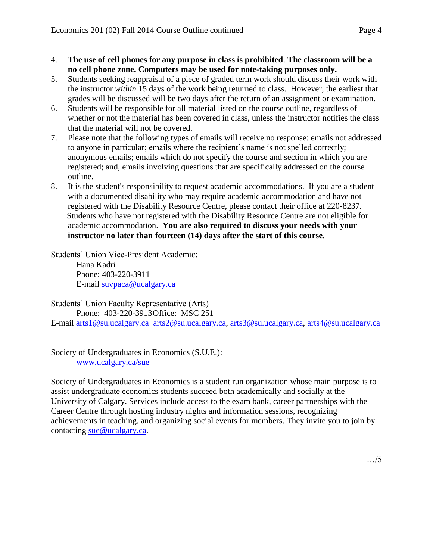- 4. **The use of cell phones for any purpose in class is prohibited**. **The classroom will be a no cell phone zone. Computers may be used for note-taking purposes only.**
- 5. Students seeking reappraisal of a piece of graded term work should discuss their work with the instructor *within* 15 days of the work being returned to class. However, the earliest that grades will be discussed will be two days after the return of an assignment or examination.
- 6. Students will be responsible for all material listed on the course outline, regardless of whether or not the material has been covered in class, unless the instructor notifies the class that the material will not be covered.
- 7. Please note that the following types of emails will receive no response: emails not addressed to anyone in particular; emails where the recipient's name is not spelled correctly; anonymous emails; emails which do not specify the course and section in which you are registered; and, emails involving questions that are specifically addressed on the course outline.
- 8. It is the student's responsibility to request academic accommodations. If you are a student with a documented disability who may require academic accommodation and have not registered with the Disability Resource Centre, please contact their office at 220-8237. Students who have not registered with the Disability Resource Centre are not eligible for academic accommodation. **You are also required to discuss your needs with your instructor no later than fourteen (14) days after the start of this course.**

Students' Union Vice-President Academic: Hana Kadri Phone: 403-220-3911 E-mail [suvpaca@ucalgary.ca](mailto:subpaca@ucalgary.ca)

Students' Union Faculty Representative (Arts) Phone: 403-220-3913Office: MSC 251

E-mail [arts1@su.ucalgary.ca](mailto:arts1@su.ucalgary.ca) [arts2@su.ucalgary.ca,](mailto:arts2@su.ucalgary.ca) [arts3@su.ucalgary.ca,](mailto:arts3@su.ucalgary.ca) [arts4@su.ucalgary.ca](mailto:arts4@su.ucalgary.ca)

Society of Undergraduates in Economics (S.U.E.): [www.ucalgary.ca/sue](http://www.fp.ucalgary.ca/econ)

Society of Undergraduates in Economics is a student run organization whose main purpose is to assist undergraduate economics students succeed both academically and socially at the University of Calgary. Services include access to the exam bank, career partnerships with the Career Centre through hosting industry nights and information sessions, recognizing achievements in teaching, and organizing social events for members. They invite you to join by contacting [sue@ucalgary.ca.](mailto:sue@ucalgary.ca)